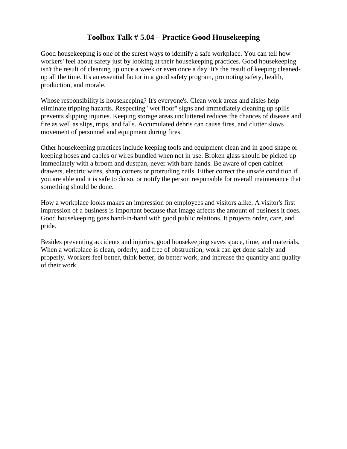## **Toolbox Talk # 5.04 – Practice Good Housekeeping**

Good housekeeping is one of the surest ways to identify a safe workplace. You can tell how workers' feel about safety just by looking at their housekeeping practices. Good housekeeping isn't the result of cleaning up once a week or even once a day. It's the result of keeping cleanedup all the time. It's an essential factor in a good safety program, promoting safety, health, production, and morale.

Whose responsibility is housekeeping? It's everyone's. Clean work areas and aisles help eliminate tripping hazards. Respecting "wet floor" signs and immediately cleaning up spills prevents slipping injuries. Keeping storage areas uncluttered reduces the chances of disease and fire as well as slips, trips, and falls. Accumulated debris can cause fires, and clutter slows movement of personnel and equipment during fires.

Other housekeeping practices include keeping tools and equipment clean and in good shape or keeping hoses and cables or wires bundled when not in use. Broken glass should be picked up immediately with a broom and dustpan, never with bare hands. Be aware of open cabinet drawers, electric wires, sharp corners or protruding nails. Either correct the unsafe condition if you are able and it is safe to do so, or notify the person responsible for overall maintenance that something should be done.

How a workplace looks makes an impression on employees and visitors alike. A visitor's first impression of a business is important because that image affects the amount of business it does. Good housekeeping goes hand-in-hand with good public relations. It projects order, care, and pride.

Besides preventing accidents and injuries, good housekeeping saves space, time, and materials. When a workplace is clean, orderly, and free of obstruction; work can get done safely and properly. Workers feel better, think better, do better work, and increase the quantity and quality of their work.